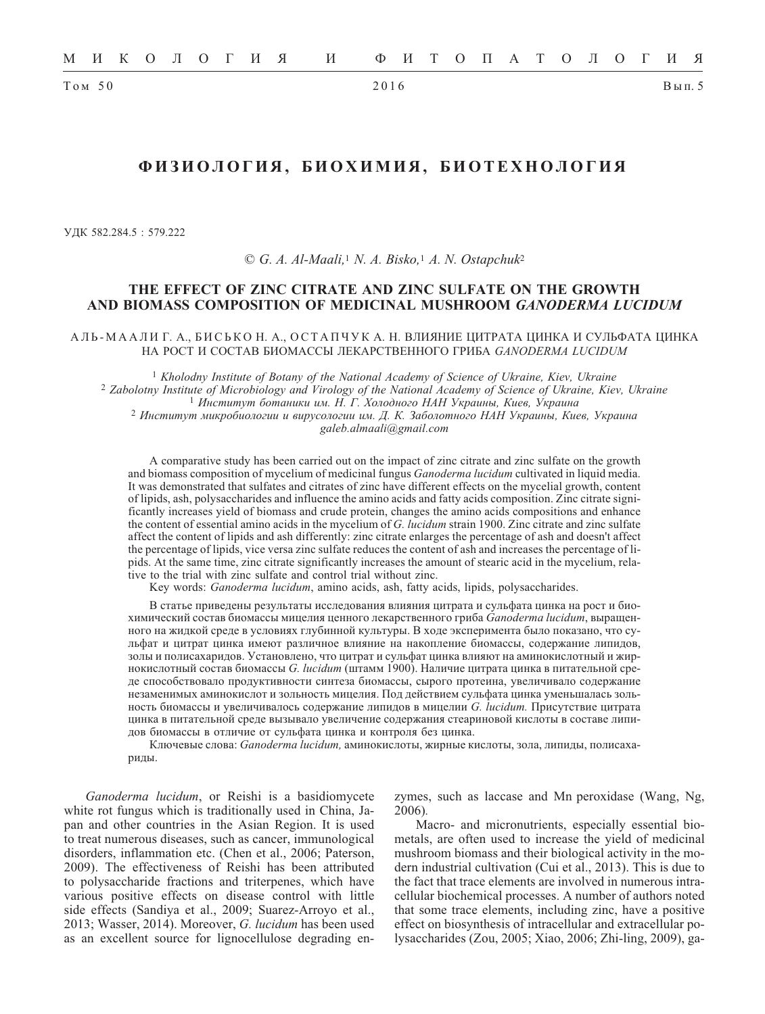$Tom 50$ 

# ФИЗИОЛОГИЯ, БИОХИМИЯ, БИОТЕХНОЛОГИЯ

УДК 582.284.5: 579.222

 $\odot$  G. A. Al-Maali, <sup>1</sup> N. A. Bisko, <sup>1</sup> A. N. Ostapchuk<sup>2</sup>

## THE EFFECT OF ZINC CITRATE AND ZINC SULFATE ON THE GROWTH AND BIOMASS COMPOSITION OF MEDICINAL MUSHROOM GANODERMA LUCIDUM

АЛЬ-МААЛИ Г. А., БИСЬКО Н. А., ОСТАПЧУК А. Н. ВЛИЯНИЕ ЦИТРАТА ЦИНКА И СУЛЬФАТА ЦИНКА НА РОСТ И СОСТАВ БИОМАССЫ ЛЕКАРСТВЕННОГО ГРИБА GANODERMA LUCIDUM

<sup>1</sup> Kholodny Institute of Botany of the National Academy of Science of Ukraine, Kiev, Ukraine <sup>2</sup> Zabolotny Institute of Microbiology and Virology of the National Academy of Science of Ukraine, Kiev, Ukraine 1 Институт ботаники им. Н. Г. Холодного НАН Украины, Киев, Украина <sup>2</sup> Институт микробиологии и вирусологии им. Д. К. Заболотного НАН Украины, Киев, Украина galeb.almaali@gmail.com

A comparative study has been carried out on the impact of zinc citrate and zinc sulfate on the growth and biomass composition of mycelium of medicinal fungus Ganoderma lucidum cultivated in liquid media. It was demonstrated that sulfates and citrates of zinc have different effects on the mycelial growth, content of lipids, ash, polysaccharides and influence the amino acids and fatty acids composition. Zinc citrate significantly increases yield of biomass and crude protein, changes the amino acids compositions and enhance the content of essential amino acids in the mycelium of G. lucidum strain 1900. Zinc citrate and zinc sulfate affect the content of lipids and ash differently: zinc citrate enlarges the percentage of ash and doesn't affect the percentage of lipids, vice versa zinc sulfate reduces the content of ash and increases the percentage of lipids. At the same time, zinc citrate significantly increases the amount of stearic acid in the mycelium, relative to the trial with zinc sulfate and control trial without zinc.

Key words: Ganoderma lucidum, amino acids, ash, fatty acids, lipids, polysaccharides.

В статье приведены результаты исследования влияния цитрата и сульфата цинка на рост и биохимический состав биомассы мицелия ценного лекарственного гриба Ganoderma lucidum, выращенного на жидкой среде в условиях глубинной культуры. В ходе эксперимента было показано, что сульфат и цитрат цинка имеют различное влияние на накопление биомассы, содержание липидов, золы и полисахаридов. Установлено, что цитрат и сульфат цинка влияют на аминокислотный и жирнокислотный состав биомассы G. lucidum (штамм 1900). Наличие цитрата цинка в питательной среде способствовало продуктивности синтеза биомассы, сырого протеина, увеличивало содержание незаменимых аминокислот и зольность мицелия. Под действием сульфата цинка уменьшалась зольность биомассы и увеличивалось содержание липидов в мицелии G. lucidum. Присутствие цитрата цинка в питательной среде вызывало увеличение содержания стеариновой кислоты в составе липидов биомассы в отличие от сульфата цинка и контроля без цинка.

Ключевые слова: Ganoderma lucidum, аминокислоты, жирные кислоты, зола, липиды, полисахариды.

Ganoderma lucidum, or Reishi is a basidiomycete white rot fungus which is traditionally used in China, Japan and other countries in the Asian Region. It is used to treat numerous diseases, such as cancer, immunological disorders, inflammation etc. (Chen et al., 2006; Paterson, 2009). The effectiveness of Reishi has been attributed to polysaccharide fractions and triterpenes, which have various positive effects on disease control with little side effects (Sandiya et al., 2009; Suarez-Arroyo et al., 2013; Wasser, 2014). Moreover, G. lucidum has been used as an excellent source for lignocellulose degrading enzymes, such as laccase and Mn peroxidase (Wang, Ng,  $2006$ ).

Macro- and micronutrients, especially essential biometals, are often used to increase the yield of medicinal mushroom biomass and their biological activity in the modern industrial cultivation (Cui et al., 2013). This is due to the fact that trace elements are involved in numerous intracellular biochemical processes. A number of authors noted that some trace elements, including zinc, have a positive effect on biosynthesis of intracellular and extracellular polysaccharides (Zou, 2005; Xiao, 2006; Zhi-ling, 2009), ga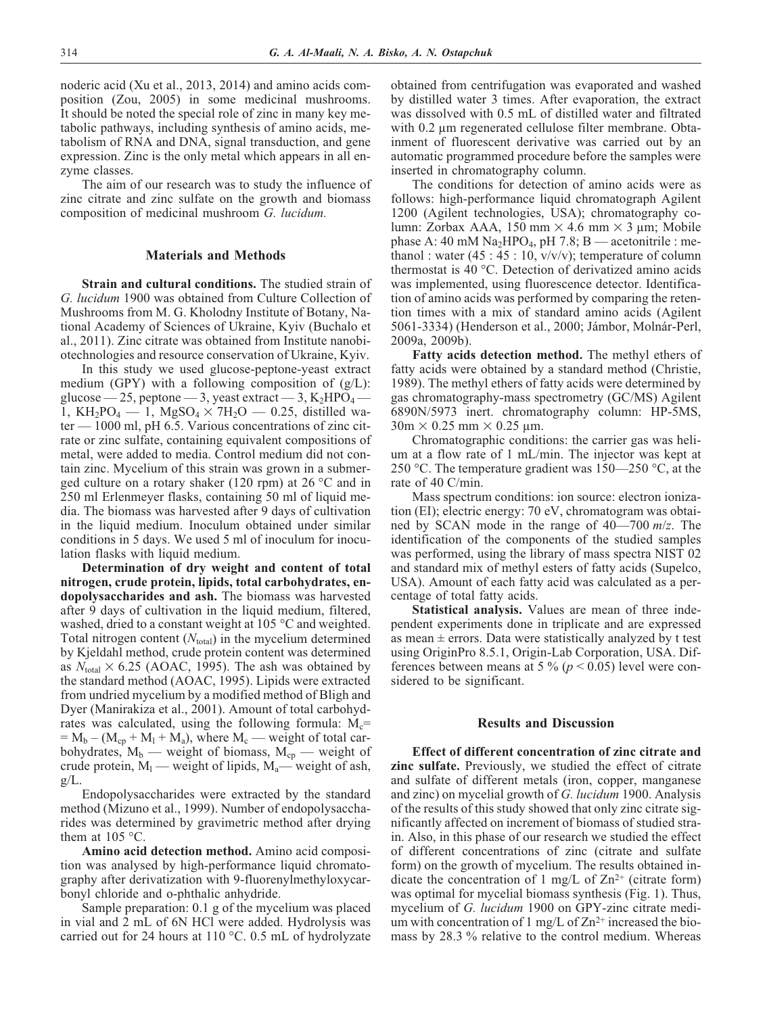noderic acid (Xu et al., 2013, 2014) and amino acids composition (Zou, 2005) in some medicinal mushrooms. It should be noted the special role of zinc in many key metabolic pathways, including synthesis of amino acids, metabolism of RNA and DNA, signal transduction, and gene expression. Zinc is the only metal which appears in all enzyme classes.

The aim of our research was to study the influence of zinc citrate and zinc sulfate on the growth and biomass composition of medicinal mushroom *G. lucidum.*

### **Materials and Methods**

**Strain and cultural conditions.** The studied strain of *G. lucidum* 1900 was obtained from Culture Collection of Mushrooms from M. G. Kholodny Institute of Botany, National Academy of Sciences of Ukraine, Kyiv (Buchalo et al., 2011). Zinc citrate was obtained from Institute nanobiotechnologies and resource conservation of Ukraine, Kyiv.

In this study we used glucose-peptone-yeast extract medium (GPY) with a following composition of (g/L): glucose — 25, peptone — 3, yeast extract — 3,  $K_2HPO_4$  — 1, KH<sub>2</sub>PO<sub>4</sub> – 1, MgSO<sub>4</sub>  $\times$  7H<sub>2</sub>O – 0.25, distilled water — 1000 ml, pH 6.5. Various concentrations of zinc citrate or zinc sulfate, containing equivalent compositions of metal, were added to media. Control medium did not contain zinc. Mycelium of this strain was grown in a submerged culture on a rotary shaker (120 rpm) at 26 °C and in 250 ml Erlenmeyer flasks, containing 50 ml of liquid media. The biomass was harvested after 9 days of cultivation in the liquid medium. Inoculum obtained under similar conditions in 5 days. We used 5 ml of inoculum for inoculation flasks with liquid medium.

**Determination of dry weight and content of total nitrogen, crude protein, lipids, total carbohydrates, endopolysaccharides and ash.** The biomass was harvested after 9 days of cultivation in the liquid medium, filtered, washed, dried to a constant weight at 105 °C and weighted. Total nitrogen content  $(N<sub>total</sub>)$  in the mycelium determined by Kjeldahl method, crude protein content was determined as  $N_{\text{total}} \times 6.25$  (AOAC, 1995). The ash was obtained by the standard method (AOAC, 1995). Lipids were extracted from undried mycelium by a modified method of Bligh and Dyer (Manirakiza et al., 2001). Amount of total carbohydrates was calculated, using the following formula:  $M_c$ =  $= M_b - (M_{cp} + M_1 + M_a)$ , where  $M_c$  — weight of total carbohydrates,  $M_b$  — weight of biomass,  $M_{cp}$  — weight of crude protein,  $M_1$  — weight of lipids,  $M_a$ — weight of ash,  $g/L$ .

Endopolysaccharides were extracted by the standard method (Mizuno et al., 1999). Number of endopolysaccharides was determined by gravimetric method after drying them at  $105^{\circ}$ C.

**Amino acid detection method.** Amino acid composition was analysed by high-performance liquid chromatography after derivatization with 9-fluorenylmethyloxycarbonyl chloride and o-phthalic anhydride.

Sample preparation: 0.1 g of the mycelium was placed in vial and 2 mL of 6N HCl were added. Hydrolysis was carried out for 24 hours at 110 °C. 0.5 mL of hydrolyzate obtained from centrifugation was evaporated and washed by distilled water 3 times. After evaporation, the extract was dissolved with 0.5 mL of distilled water and filtrated with 0.2 μm regenerated cellulose filter membrane. Obtainment of fluorescent derivative was carried out by an automatic programmed procedure before the samples were inserted in chromatography column.

The conditions for detection of amino acids were as follows: high-performance liquid chromatograph Agilent 1200 (Agilent technologies, USA); chromatography column: Zorbax AAA,  $150 \text{ mm} \times 4.6 \text{ mm} \times 3 \text{ µm}$ ; Mobile phase A:  $40 \text{ mM Na}_2\text{HPO}_4$ , pH 7.8; B — acetonitrile : methanol : water  $(45:45:10, v/v/v)$ ; temperature of column thermostat is 40 °C. Detection of derivatized amino acids was implemented, using fluorescence detector. Identification of amino acids was performed by comparing the retention times with a mix of standard amino acids (Agilent 5061-3334) (Henderson et al., 2000; Jámbor, Molnár-Perl, 2009a, 2009b).

**Fatty acids detection method.** The methyl ethers of fatty acids were obtained by a standard method (Christie, 1989). The methyl ethers of fatty acids were determined by gas chromatography-mass spectrometry (GC/MS) Agilent 6890N/5973 inert. chromatography column: HP-5MS,  $30m \times 0.25$  mm  $\times 0.25$  µm.

Chromatographic conditions: the carrier gas was helium at a flow rate of 1 mL/min. The injector was kept at 250 °C. The temperature gradient was 150—250 °C, at the rate of 40 C/min.

Mass spectrum conditions: ion source: electron ionization (EI); electric energy: 70 eV, chromatogram was obtained by SCAN mode in the range of 40—700 *m*/*z*. The identification of the components of the studied samples was performed, using the library of mass spectra NIST 02 and standard mix of methyl esters of fatty acids (Supelco, USA). Amount of each fatty acid was calculated as a percentage of total fatty acids.

**Statistical analysis.** Values are mean of three independent experiments done in triplicate and are expressed as mean  $\pm$  errors. Data were statistically analyzed by t test using OriginPro 8.5.1, Origin-Lab Corporation, USA. Differences between means at 5  $\%$  ( $p$  < 0.05) level were considered to be significant.

#### **Results and Discussion**

**Effect of different concentration of zinc citrate and zinc sulfate.** Previously, we studied the effect of citrate and sulfate of different metals (iron, copper, manganese and zinc) on mycelial growth of *G. lucidum* 1900. Analysis of the results of this study showed that only zinc citrate significantly affected on increment of biomass of studied strain. Also, in this phase of our research we studied the effect of different concentrations of zinc (citrate and sulfate form) on the growth of mycelium. The results obtained indicate the concentration of 1 mg/L of  $\text{Zn}^{2+}$  (citrate form) was optimal for mycelial biomass synthesis (Fig. 1). Thus, mycelium of *G. lucidum* 1900 on GPY-zinc citrate medium with concentration of 1 mg/L of  $Zn^{2+}$  increased the biomass by 28.3 % relative to the control medium. Whereas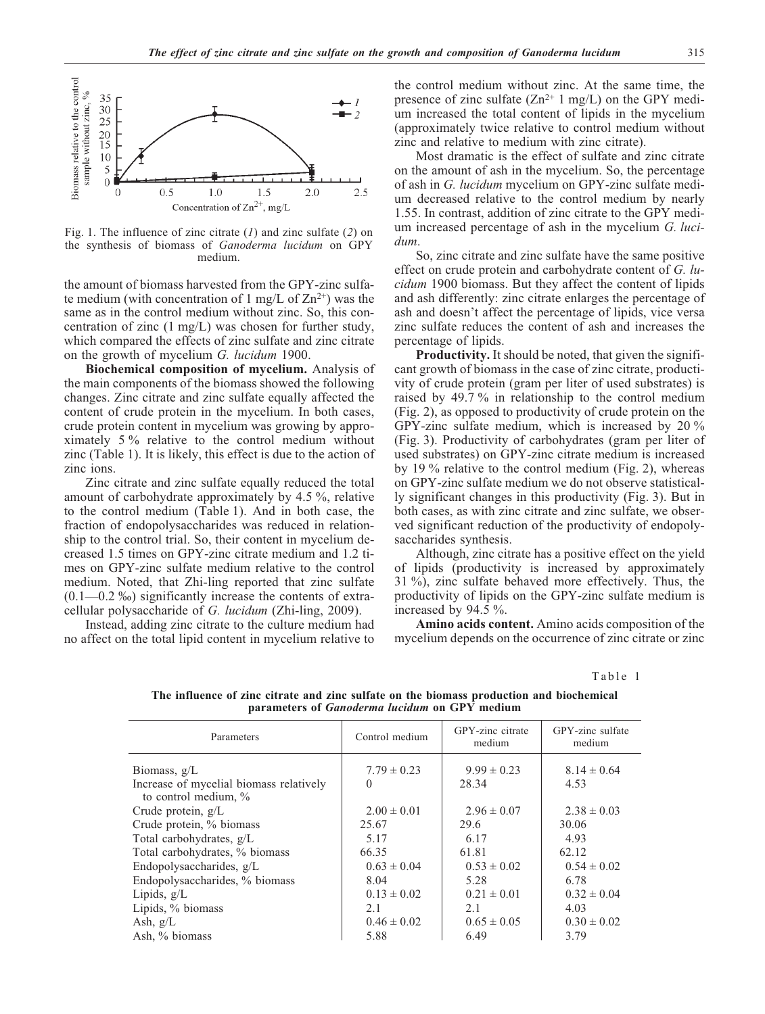

Fig. 1. The influence of zinc citrate (*1*) and zinc sulfate (*2*) on the synthesis of biomass of *Ganoderma lucidum* on GPY medium.

the amount of biomass harvested from the GPY-zinc sulfate medium (with concentration of 1 mg/L of  $\text{Zn}^{2+}$ ) was the same as in the control medium without zinc. So, this concentration of zinc (1 mg/L) was chosen for further study, which compared the effects of zinc sulfate and zinc citrate on the growth of mycelium *G. lucidum* 1900.

**Biochemical composition of mycelium.** Analysis of the main components of the biomass showed the following changes. Zinc citrate and zinc sulfate equally affected the content of crude protein in the mycelium. In both cases, crude protein content in mycelium was growing by approximately 5 % relative to the control medium without zinc (Table 1). It is likely, this effect is due to the action of zinc ions.

Zinc citrate and zinc sulfate equally reduced the total amount of carbohydrate approximately by 4.5 %, relative to the control medium (Table 1). And in both case, the fraction of endopolysaccharides was reduced in relationship to the control trial. So, their content in mycelium decreased 1.5 times on GPY-zinc citrate medium and 1.2 times on GPY-zinc sulfate medium relative to the control medium. Noted, that Zhi-ling reported that zinc sulfate  $(0.1 - 0.2 \%)$  significantly increase the contents of extracellular polysaccharide of *G. lucidum* (Zhi-ling, 2009).

Instead, adding zinc citrate to the culture medium had no affect on the total lipid content in mycelium relative to

the control medium without zinc. At the same time, the presence of zinc sulfate  $(Zn^{2+} 1 mg/L)$  on the GPY medium increased the total content of lipids in the mycelium (approximately twice relative to control medium without zinc and relative to medium with zinc citrate).

Most dramatic is the effect of sulfate and zinc citrate on the amount of ash in the mycelium. So, the percentage of ash in *G. lucidum* mycelium on GPY-zinc sulfate medium decreased relative to the control medium by nearly 1.55. In contrast, addition of zinc citrate to the GPY medium increased percentage of ash in the mycelium *G. lucidum*.

So, zinc citrate and zinc sulfate have the same positive effect on crude protein and carbohydrate content of *G. lucidum* 1900 biomass. But they affect the content of lipids and ash differently: zinc citrate enlarges the percentage of ash and doesn't affect the percentage of lipids, vice versa zinc sulfate reduces the content of ash and increases the percentage of lipids.

**Productivity.** It should be noted, that given the significant growth of biomass in the case of zinc citrate, productivity of crude protein (gram per liter of used substrates) is raised by 49.7 % in relationship to the control medium (Fig. 2), as opposed to productivity of crude protein on the GPY-zinc sulfate medium, which is increased by 20 % (Fig. 3). Productivity of carbohydrates (gram per liter of used substrates) on GPY-zinc citrate medium is increased by 19 % relative to the control medium (Fig. 2), whereas on GPY-zinc sulfate medium we do not observe statistically significant changes in this productivity (Fig. 3). But in both cases, as with zinc citrate and zinc sulfate, we observed significant reduction of the productivity of endopolysaccharides synthesis.

Although, zinc citrate has a positive effect on the yield of lipids (productivity is increased by approximately 31 %), zinc sulfate behaved more effectively. Thus, the productivity of lipids on the GPY-zinc sulfate medium is increased by 94.5 %.

**Amino acids content.** Amino acids composition of the mycelium depends on the occurrence of zinc citrate or zinc

Table 1

| Parameters                                                                                                                                                                                                                                                                                              | Control medium                                                                                                                | GPY-zinc citrate<br>medium                                                                                                | GPY-zinc sulfate<br>medium                                                                                                 |
|---------------------------------------------------------------------------------------------------------------------------------------------------------------------------------------------------------------------------------------------------------------------------------------------------------|-------------------------------------------------------------------------------------------------------------------------------|---------------------------------------------------------------------------------------------------------------------------|----------------------------------------------------------------------------------------------------------------------------|
| Biomass, $g/L$<br>Increase of mycelial biomass relatively<br>to control medium, %<br>Crude protein, $g/L$<br>Crude protein, % biomass<br>Total carbohydrates, g/L<br>Total carbohydrates, % biomass<br>Endopolysaccharides, g/L<br>Endopolysaccharides, % biomass<br>Lipids, $g/L$<br>Lipids, % biomass | $7.79 \pm 0.23$<br>$\Omega$<br>$2.00 \pm 0.01$<br>25.67<br>5.17<br>66.35<br>$0.63 \pm 0.04$<br>8.04<br>$0.13 \pm 0.02$<br>2.1 | $9.99 \pm 0.23$<br>28.34<br>$2.96 \pm 0.07$<br>29.6<br>6.17<br>61.81<br>$0.53 \pm 0.02$<br>5.28<br>$0.21 \pm 0.01$<br>2.1 | $8.14 \pm 0.64$<br>4.53<br>$2.38 \pm 0.03$<br>30.06<br>4.93<br>62.12<br>$0.54 \pm 0.02$<br>6.78<br>$0.32 \pm 0.04$<br>4.03 |
| Ash, $g/L$                                                                                                                                                                                                                                                                                              | $0.46 \pm 0.02$                                                                                                               | $0.65 \pm 0.05$                                                                                                           | $0.30 \pm 0.02$                                                                                                            |
| Ash, % biomass                                                                                                                                                                                                                                                                                          | 5.88                                                                                                                          | 6.49                                                                                                                      | 3.79                                                                                                                       |

**The influence of zinc citrate and zinc sulfate on the biomass production and biochemical parameters of** *Ganoderma lucidum* **on GPY medium**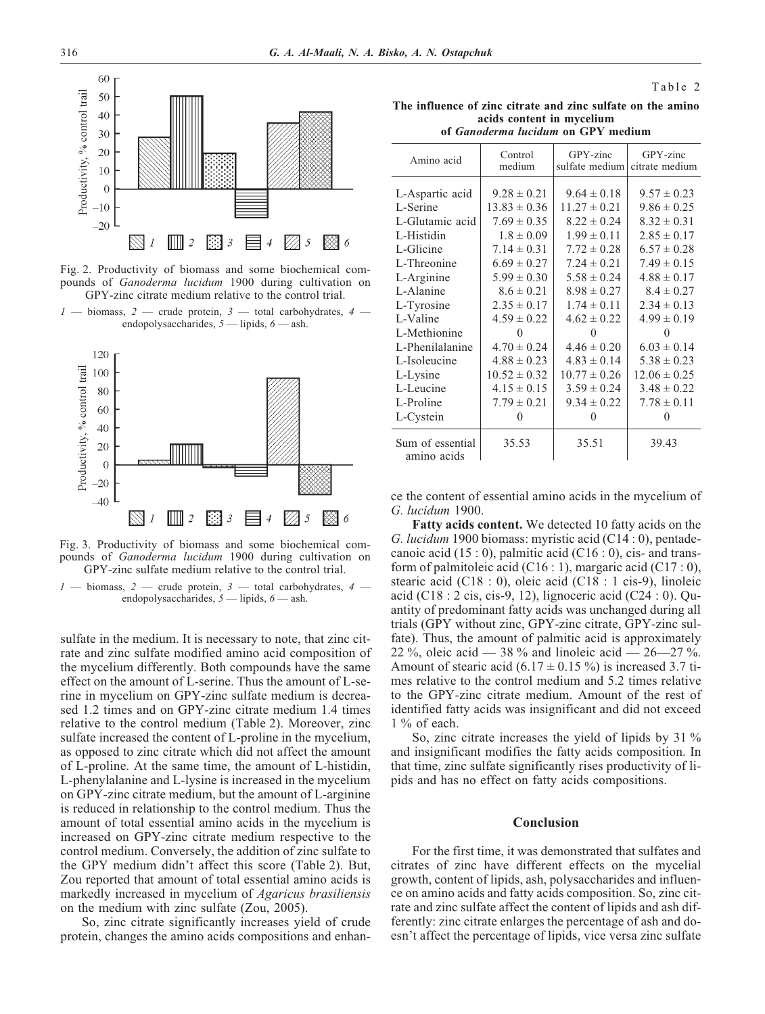

Fig. 2. Productivity of biomass and some biochemical compounds of *Ganoderma lucidum* 1900 during cultivation on GPY-zinc citrate medium relative to the control trial.





Fig. 3. Productivity of biomass and some biochemical compounds of *Ganoderma lucidum* 1900 during cultivation on GPY-zinc sulfate medium relative to the control trial.

 $-$  biomass,  $2$  — crude protein,  $3$  — total carbohydrates,  $4$  endopolysaccharides, *5* — lipids, *6* — ash.

sulfate in the medium. It is necessary to note, that zinc citrate and zinc sulfate modified amino acid composition of the mycelium differently. Both compounds have the same effect on the amount of L-serine. Thus the amount of L-serine in mycelium on GPY-zinc sulfate medium is decreased 1.2 times and on GPY-zinc citrate medium 1.4 times relative to the control medium (Table 2). Moreover, zinc sulfate increased the content of L-proline in the mycelium, as opposed to zinc citrate which did not affect the amount of L-proline. At the same time, the amount of L-histidin, L-phenylalanine and L-lysine is increased in the mycelium on GPY-zinc citrate medium, but the amount of L-arginine is reduced in relationship to the control medium. Thus the amount of total essential amino acids in the mycelium is increased on GPY-zinc citrate medium respective to the control medium. Conversely, the addition of zinc sulfate to the GPY medium didn't affect this score (Table 2). But, Zou reported that amount of total essential amino acids is markedly increased in mycelium of *Agaricus brasiliensis* on the medium with zinc sulfate (Zou, 2005).

So, zinc citrate significantly increases yield of crude protein, changes the amino acids compositions and enhan-

| The influence of zinc citrate and zinc sulfate on the amino |  |  |  |  |  |  |
|-------------------------------------------------------------|--|--|--|--|--|--|
| acids content in mycelium                                   |  |  |  |  |  |  |
| of <i>Ganoderma lucidum</i> on GPY medium                   |  |  |  |  |  |  |

Table 2

| Amino acid                      | Control<br>medium | GPY-zinc<br>sulfate medium | GPY-zinc<br>citrate medium |
|---------------------------------|-------------------|----------------------------|----------------------------|
|                                 |                   |                            |                            |
| L-Aspartic acid                 | $9.28 \pm 0.21$   | $9.64 \pm 0.18$            | $9.57 \pm 0.23$            |
| L-Serine                        | $13.83 \pm 0.36$  | $11.27 \pm 0.21$           | $9.86 \pm 0.25$            |
| L-Glutamic acid                 | $7.69 \pm 0.35$   | $8.22 \pm 0.24$            | $8.32 \pm 0.31$            |
| L-Histidin                      | $1.8 \pm 0.09$    | $1.99 \pm 0.11$            | $2.85 \pm 0.17$            |
| L-Glicine                       | $7.14 \pm 0.31$   | $7.72 \pm 0.28$            | $6.57 \pm 0.28$            |
| L-Threonine                     | $6.69 \pm 0.27$   | $7.24 \pm 0.21$            | $7.49 \pm 0.15$            |
| L-Arginine                      | $5.99 \pm 0.30$   | $5.58 \pm 0.24$            | $4.88 \pm 0.17$            |
| L-Alanine                       | $8.6 \pm 0.21$    | $8.98 \pm 0.27$            | $8.4 \pm 0.27$             |
| L-Tyrosine                      | $2.35 \pm 0.17$   | $1.74 \pm 0.11$            | $2.34 \pm 0.13$            |
| L-Valine                        | $4.59 \pm 0.22$   | $4.62 \pm 0.22$            | $4.99 \pm 0.19$            |
| L-Methionine                    | $\Omega$          |                            | $\Omega$                   |
| L-Phenilalanine                 | $4.70 \pm 0.24$   | $4.46 \pm 0.20$            | $6.03 \pm 0.14$            |
| L-Isoleucine                    | $4.88 \pm 0.23$   | $4.83 \pm 0.14$            | $5.38 \pm 0.23$            |
| L-Lysine                        | $10.52 \pm 0.32$  | $10.77 \pm 0.26$           | $12.06 \pm 0.25$           |
| L-Leucine                       | $4.15 \pm 0.15$   | $3.59 \pm 0.24$            | $3.48 \pm 0.22$            |
| L-Proline                       | $7.79 \pm 0.21$   | $9.34 \pm 0.22$            | $7.78 \pm 0.11$            |
| L-Cystein                       | 0                 | $\theta$                   | $\Omega$                   |
| Sum of essential<br>amino acids | 35.53             | 35.51                      | 39.43                      |

ce the content of essential amino acids in the mycelium of *G. lucidum* 1900.

**Fatty acids content.** We detected 10 fatty acids on the *G. lucidum* 1900 biomass: myristic acid (C14 : 0), pentadecanoic acid  $(15:0)$ , palmitic acid  $(C16:0)$ , cis- and transform of palmitoleic acid  $(C16:1)$ , margaric acid  $(C17:0)$ , stearic acid (C18 : 0), oleic acid (C18 : 1 cis-9), linoleic acid (C18 : 2 cis, cis-9, 12), lignoceric acid (C24 : 0). Quantity of predominant fatty acids was unchanged during all trials (GPY without zinc, GPY-zinc citrate, GPY-zinc sulfate). Thus, the amount of palmitic acid is approximately 22 %, oleic acid — 38 % and linoleic acid —  $26-27$  %. Amount of stearic acid  $(6.17 \pm 0.15\%)$  is increased 3.7 times relative to the control medium and 5.2 times relative to the GPY-zinc citrate medium. Amount of the rest of identified fatty acids was insignificant and did not exceed 1 % of each.

So, zinc citrate increases the yield of lipids by 31 % and insignificant modifies the fatty acids composition. In that time, zinc sulfate significantly rises productivity of lipids and has no effect on fatty acids compositions.

### **Conclusion**

For the first time, it was demonstrated that sulfates and citrates of zinc have different effects on the mycelial growth, content of lipids, ash, polysaccharides and influence on amino acids and fatty acids composition. So, zinc citrate and zinc sulfate affect the content of lipids and ash differently: zinc citrate enlarges the percentage of ash and doesn't affect the percentage of lipids, vice versa zinc sulfate